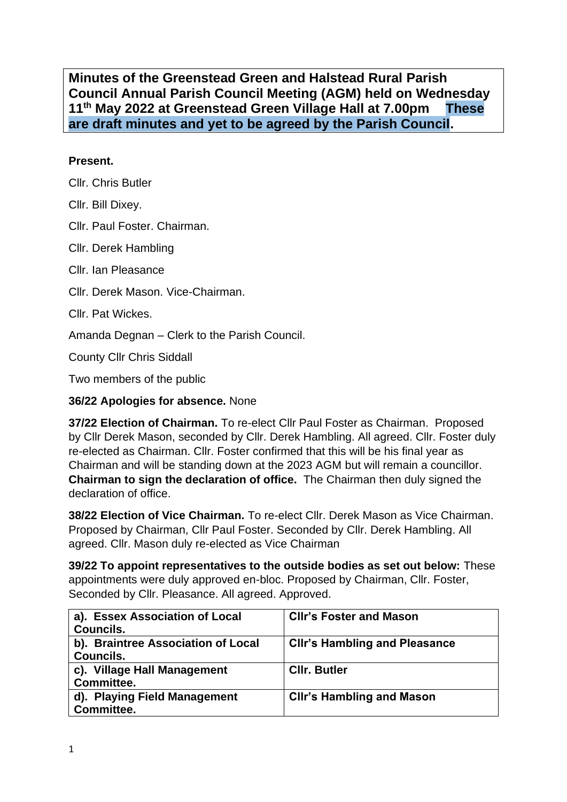**Minutes of the Greenstead Green and Halstead Rural Parish Council Annual Parish Council Meeting (AGM) held on Wednesday 11th May 2022 at Greenstead Green Village Hall at 7.00pm These are draft minutes and yet to be agreed by the Parish Council.**

## **Present.**

Cllr. Chris Butler

Cllr. Bill Dixey.

Cllr. Paul Foster. Chairman.

Cllr. Derek Hambling

Cllr. Ian Pleasance

Cllr. Derek Mason. Vice-Chairman.

Cllr. Pat Wickes.

Amanda Degnan – Clerk to the Parish Council.

County Cllr Chris Siddall

Two members of the public

## **36/22 Apologies for absence.** None

**37/22 Election of Chairman.** To re-elect Cllr Paul Foster as Chairman. Proposed by Cllr Derek Mason, seconded by Cllr. Derek Hambling. All agreed. Cllr. Foster duly re-elected as Chairman. Cllr. Foster confirmed that this will be his final year as Chairman and will be standing down at the 2023 AGM but will remain a councillor. **Chairman to sign the declaration of office.** The Chairman then duly signed the declaration of office.

**38/22 Election of Vice Chairman.** To re-elect Cllr. Derek Mason as Vice Chairman. Proposed by Chairman, Cllr Paul Foster. Seconded by Cllr. Derek Hambling. All agreed. Cllr. Mason duly re-elected as Vice Chairman

**39/22 To appoint representatives to the outside bodies as set out below:** These appointments were duly approved en-bloc. Proposed by Chairman, Cllr. Foster, Seconded by Cllr. Pleasance. All agreed. Approved.

| a). Essex Association of Local<br>Councils.     | <b>CIIr's Foster and Mason</b>       |
|-------------------------------------------------|--------------------------------------|
| b). Braintree Association of Local<br>Councils. | <b>CIIr's Hambling and Pleasance</b> |
| c). Village Hall Management<br>Committee.       | <b>CIIr. Butler</b>                  |
| d). Playing Field Management<br>Committee.      | <b>CIIr's Hambling and Mason</b>     |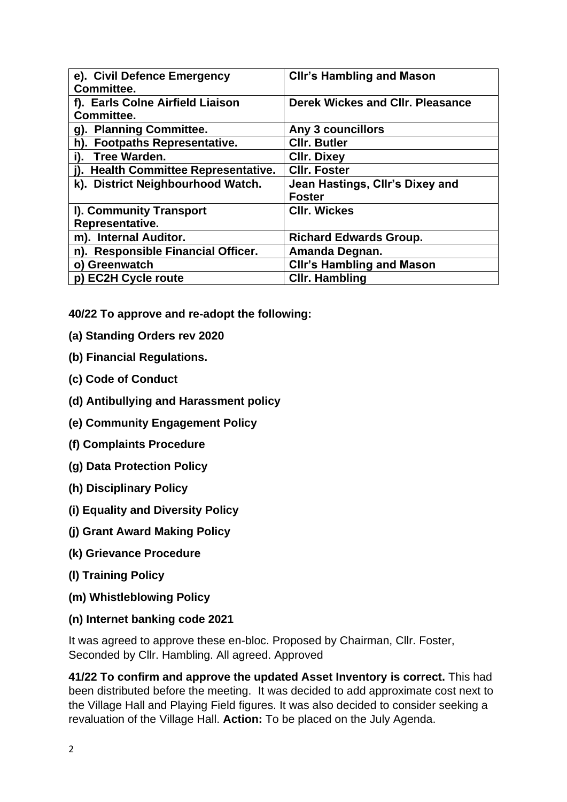| e). Civil Defence Emergency<br>Committee.      | <b>Cllr's Hambling and Mason</b>                 |
|------------------------------------------------|--------------------------------------------------|
| f). Earls Colne Airfield Liaison<br>Committee. | Derek Wickes and CIIr. Pleasance                 |
| g). Planning Committee.                        | Any 3 councillors                                |
| h). Footpaths Representative.                  | <b>Cllr. Butler</b>                              |
| i). Tree Warden.                               | <b>CIIr. Dixey</b>                               |
| j). Health Committee Representative.           | <b>CIIr. Foster</b>                              |
| k). District Neighbourhood Watch.              | Jean Hastings, Cllr's Dixey and<br><b>Foster</b> |
| I). Community Transport<br>Representative.     | <b>CIIr. Wickes</b>                              |
| m). Internal Auditor.                          | <b>Richard Edwards Group.</b>                    |
| n). Responsible Financial Officer.             | Amanda Degnan.                                   |
| o) Greenwatch                                  | <b>Cllr's Hambling and Mason</b>                 |
| p) EC2H Cycle route                            | <b>Cllr. Hambling</b>                            |

**40/22 To approve and re-adopt the following:**

- **(a) Standing Orders rev 2020**
- **(b) Financial Regulations.**
- **(c) Code of Conduct**
- **(d) Antibullying and Harassment policy**
- **(e) Community Engagement Policy**
- **(f) Complaints Procedure**
- **(g) Data Protection Policy**
- **(h) Disciplinary Policy**
- **(i) Equality and Diversity Policy**
- **(j) Grant Award Making Policy**
- **(k) Grievance Procedure**
- **(l) Training Policy**
- **(m) Whistleblowing Policy**
- **(n) Internet banking code 2021**

It was agreed to approve these en-bloc. Proposed by Chairman, Cllr. Foster, Seconded by Cllr. Hambling. All agreed. Approved

**41/22 To confirm and approve the updated Asset Inventory is correct.** This had been distributed before the meeting. It was decided to add approximate cost next to the Village Hall and Playing Field figures. It was also decided to consider seeking a revaluation of the Village Hall. **Action:** To be placed on the July Agenda.